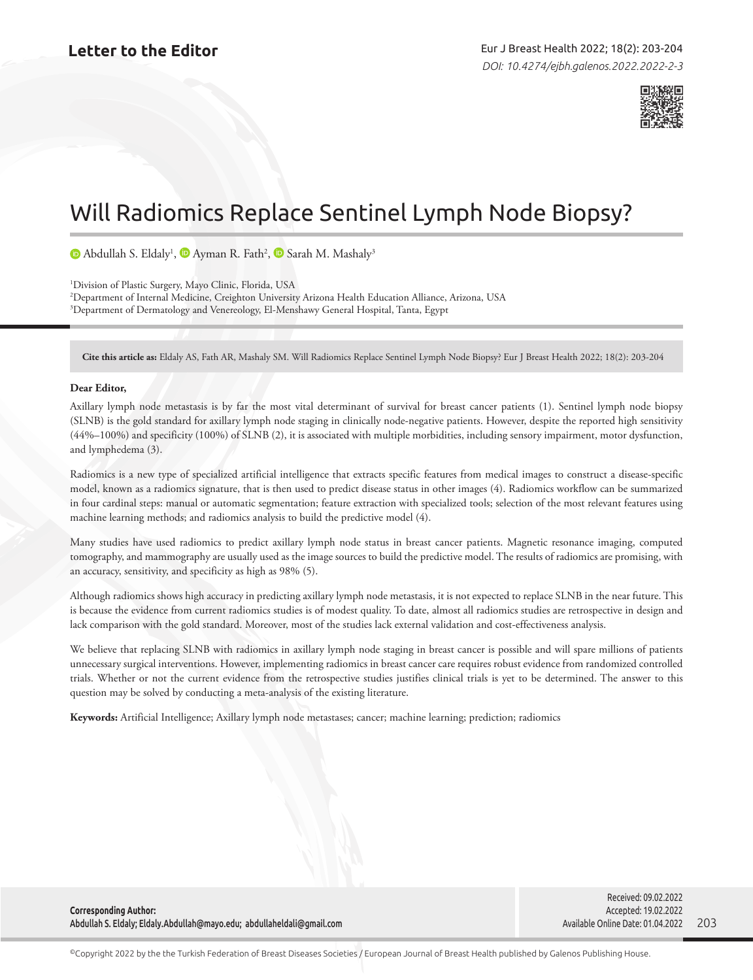

## Will Radiomics Replace Sentinel Lymph Node Biopsy?

AbdullahS. Eldaly<sup>1</sup>,  $\blacksquare$  Ayman R. Fath<sup>2</sup>,  $\blacksquare$  Sarah M. Mashaly<sup>3</sup>

1 Division of Plastic Surgery, Mayo Clinic, Florida, USA 2 Department of Internal Medicine, Creighton University Arizona Health Education Alliance, Arizona, USA 3 Department of Dermatology and Venereology, El-Menshawy General Hospital, Tanta, Egypt

**Cite this article as:** Eldaly AS, Fath AR, Mashaly SM. Will Radiomics Replace Sentinel Lymph Node Biopsy? Eur J Breast Health 2022; 18(2): 203-204

## **Dear Editor,**

Axillary lymph node metastasis is by far the most vital determinant of survival for breast cancer patients (1). Sentinel lymph node biopsy (SLNB) is the gold standard for axillary lymph node staging in clinically node-negative patients. However, despite the reported high sensitivity (44%–100%) and specificity (100%) of SLNB (2), it is associated with multiple morbidities, including sensory impairment, motor dysfunction, and lymphedema (3).

Radiomics is a new type of specialized artificial intelligence that extracts specific features from medical images to construct a disease-specific model, known as a radiomics signature, that is then used to predict disease status in other images (4). Radiomics workflow can be summarized in four cardinal steps: manual or automatic segmentation; feature extraction with specialized tools; selection of the most relevant features using machine learning methods; and radiomics analysis to build the predictive model (4).

Many studies have used radiomics to predict axillary lymph node status in breast cancer patients. Magnetic resonance imaging, computed tomography, and mammography are usually used as the image sources to build the predictive model. The results of radiomics are promising, with an accuracy, sensitivity, and specificity as high as 98% (5).

Although radiomics shows high accuracy in predicting axillary lymph node metastasis, it is not expected to replace SLNB in the near future. This is because the evidence from current radiomics studies is of modest quality. To date, almost all radiomics studies are retrospective in design and lack comparison with the gold standard. Moreover, most of the studies lack external validation and cost-effectiveness analysis.

We believe that replacing SLNB with radiomics in axillary lymph node staging in breast cancer is possible and will spare millions of patients unnecessary surgical interventions. However, implementing radiomics in breast cancer care requires robust evidence from randomized controlled trials. Whether or not the current evidence from the retrospective studies justifies clinical trials is yet to be determined. The answer to this question may be solved by conducting a meta-analysis of the existing literature.

**Keywords:** Artificial Intelligence; Axillary lymph node metastases; cancer; machine learning; prediction; radiomics

**Corresponding Author:**  Abdullah S. Eldaly; Eldaly.Abdullah@mayo.edu; abdullaheldali@gmail.com

203 Received: 09.02.2022 Accepted: 19.02.2022 Available Online Date: 01.04.2022